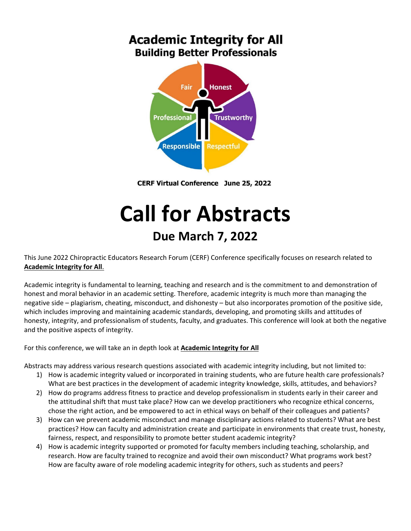## **Academic Integrity for All Building Better Professionals**



**CERF Virtual Conference June 25, 2022** 

# **Call for Abstracts Due March 7, 2022**

This June 2022 Chiropractic Educators Research Forum (CERF) Conference specifically focuses on research related to **Academic Integrity for All**.

Academic integrity is fundamental to learning, teaching and research and is the commitment to and demonstration of honest and moral behavior in an academic setting. Therefore, academic integrity is much more than managing the negative side – plagiarism, cheating, misconduct, and dishonesty – but also incorporates promotion of the positive side, which includes improving and maintaining academic standards, developing, and promoting skills and attitudes of honesty, integrity, and professionalism of students, faculty, and graduates. This conference will look at both the negative and the positive aspects of integrity.

For this conference, we will take an in depth look at **Academic Integrity for All**

Abstracts may address various research questions associated with academic integrity including, but not limited to:

- 1) How is academic integrity valued or incorporated in training students, who are future health care professionals? What are best practices in the development of academic integrity knowledge, skills, attitudes, and behaviors?
- 2) How do programs address fitness to practice and develop professionalism in students early in their career and the attitudinal shift that must take place? How can we develop practitioners who recognize ethical concerns, chose the right action, and be empowered to act in ethical ways on behalf of their colleagues and patients?
- 3) How can we prevent academic misconduct and manage disciplinary actions related to students? What are best practices? How can faculty and administration create and participate in environments that create trust, honesty, fairness, respect, and responsibility to promote better student academic integrity?
- 4) How is academic integrity supported or promoted for faculty members including teaching, scholarship, and research. How are faculty trained to recognize and avoid their own misconduct? What programs work best? How are faculty aware of role modeling academic integrity for others, such as students and peers?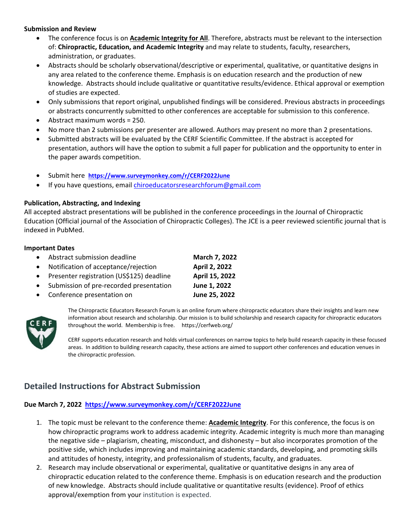#### **Submission and Review**

- The conference focus is on **Academic Integrity for All**. Therefore, abstracts must be relevant to the intersection of: **Chiropractic, Education, and Academic Integrity** and may relate to students, faculty, researchers, administration, or graduates.
- Abstracts should be scholarly observational/descriptive or experimental, qualitative, or quantitative designs in any area related to the conference theme. Emphasis is on education research and the production of new knowledge. Abstracts should include qualitative or quantitative results/evidence. Ethical approval or exemption of studies are expected.
- Only submissions that report original, unpublished findings will be considered. Previous abstracts in proceedings or abstracts concurrently submitted to other conferences are acceptable for submission to this conference.
- Abstract maximum words = 250.
- No more than 2 submissions per presenter are allowed. Authors may present no more than 2 presentations.
- Submitted abstracts will be evaluated by the CERF Scientific Committee. If the abstract is accepted for presentation, authors will have the option to submit a full paper for publication and the opportunity to enter in the paper awards competition.
- Submit here **https://www.surveymonkey.com/r/CERF2022June**
- If you have questions, email chiroeducatorsresearchforum@gmail.com

#### **Publication, Abstracting, and Indexing**

All accepted abstract presentations will be published in the conference proceedings in the Journal of Chiropractic Education (Official journal of the Association of Chiropractic Colleges). The JCE is a peer reviewed scientific journal that is indexed in PubMed.

#### **Important Dates**

- Abstract submission deadline **March 7, 2022**
- Notification of acceptance/rejection **April 2, 2022**
- Presenter registration (US\$125) deadline **April 15, 2022**
- Submission of pre‐recorded presentation **June 1, 2022**
- Conference presentation on **June 25, 2022**



The Chiropractic Educators Research Forum is an online forum where chiropractic educators share their insights and learn new information about research and scholarship. Our mission is to build scholarship and research capacity for chiropractic educators throughout the world. Membership is free. https://cerfweb.org/

CERF supports education research and holds virtual conferences on narrow topics to help build research capacity in these focused areas. In addition to building research capacity, these actions are aimed to support other conferences and education venues in the chiropractic profession.

### **Detailed Instructions for Abstract Submission**

#### **Due March 7, 2022 https://www.surveymonkey.com/r/CERF2022June**

- 1. The topic must be relevant to the conference theme: **Academic Integrity**. For this conference, the focus is on how chiropractic programs work to address academic integrity. Academic integrity is much more than managing the negative side – plagiarism, cheating, misconduct, and dishonesty – but also incorporates promotion of the positive side, which includes improving and maintaining academic standards, developing, and promoting skills and attitudes of honesty, integrity, and professionalism of students, faculty, and graduates.
- 2. Research may include observational or experimental, qualitative or quantitative designs in any area of chiropractic education related to the conference theme. Emphasis is on education research and the production of new knowledge. Abstracts should include qualitative or quantitative results (evidence). Proof of ethics approval/exemption from your institution is expected.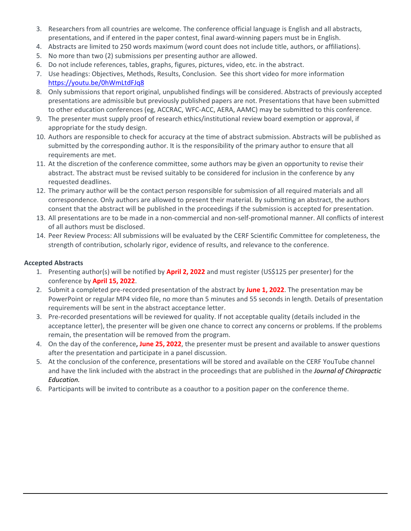- 3. Researchers from all countries are welcome. The conference official language is English and all abstracts, presentations, and if entered in the paper contest, final award‐winning papers must be in English.
- 4. Abstracts are limited to 250 words maximum (word count does not include title, authors, or affiliations).
- 5. No more than two (2) submissions per presenting author are allowed.
- 6. Do not include references, tables, graphs, figures, pictures, video, etc. in the abstract.
- 7. Use headings: Objectives, Methods, Results, Conclusion. See this short video for more information https://youtu.be/0hWmLtdFJq8
- 8. Only submissions that report original, unpublished findings will be considered. Abstracts of previously accepted presentations are admissible but previously published papers are not. Presentations that have been submitted to other education conferences (eg, ACCRAC, WFC‐ACC, AERA, AAMC) may be submitted to this conference.
- 9. The presenter must supply proof of research ethics/institutional review board exemption or approval, if appropriate for the study design.
- 10. Authors are responsible to check for accuracy at the time of abstract submission. Abstracts will be published as submitted by the corresponding author. It is the responsibility of the primary author to ensure that all requirements are met.
- 11. At the discretion of the conference committee, some authors may be given an opportunity to revise their abstract. The abstract must be revised suitably to be considered for inclusion in the conference by any requested deadlines.
- 12. The primary author will be the contact person responsible for submission of all required materials and all correspondence. Only authors are allowed to present their material. By submitting an abstract, the authors consent that the abstract will be published in the proceedings if the submission is accepted for presentation.
- 13. All presentations are to be made in a non‐commercial and non‐self‐promotional manner. All conflicts of interest of all authors must be disclosed.
- 14. Peer Review Process: All submissions will be evaluated by the CERF Scientific Committee for completeness, the strength of contribution, scholarly rigor, evidence of results, and relevance to the conference.

#### **Accepted Abstracts**

- 1. Presenting author(s) will be notified by **April 2, 2022** and must register (US\$125 per presenter) for the conference by **April 15, 2022**.
- 2. Submit a completed pre‐recorded presentation of the abstract by **June 1, 2022**. The presentation may be PowerPoint or regular MP4 video file, no more than 5 minutes and 55 seconds in length. Details of presentation requirements will be sent in the abstract acceptance letter.
- 3. Pre-recorded presentations will be reviewed for quality. If not acceptable quality (details included in the acceptance letter), the presenter will be given one chance to correct any concerns or problems. If the problems remain, the presentation will be removed from the program.
- 4. On the day of the conference**, June 25, 2022**, the presenter must be present and available to answer questions after the presentation and participate in a panel discussion.
- 5. At the conclusion of the conference, presentations will be stored and available on the CERF YouTube channel and have the link included with the abstract in the proceedings that are published in the *Journal of Chiropractic Education.*
- 6. Participants will be invited to contribute as a coauthor to a position paper on the conference theme.